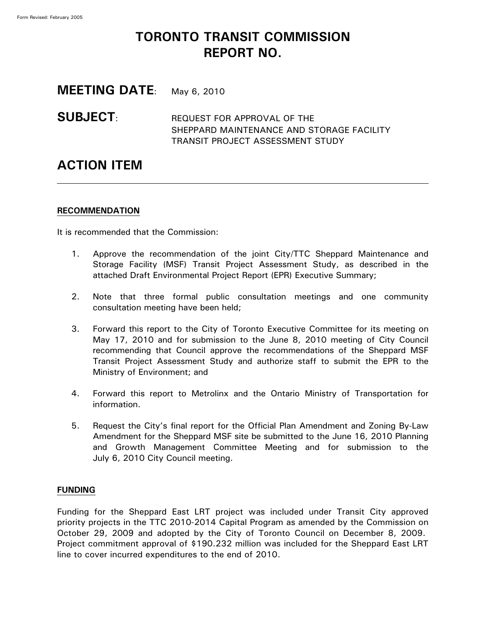# **TORONTO TRANSIT COMMISSION REPORT NO.**

**MEETING DATE**: May 6, 2010

**SUBJECT:** REQUEST FOR APPROVAL OF THE SHEPPARD MAINTENANCE AND STORAGE FACILITY TRANSIT PROJECT ASSESSMENT STUDY

# **ACTION ITEM**

# **RECOMMENDATION**

It is recommended that the Commission:

- 1. Approve the recommendation of the joint City/TTC Sheppard Maintenance and Storage Facility (MSF) Transit Project Assessment Study, as described in the attached Draft Environmental Project Report (EPR) Executive Summary;
- 2. Note that three formal public consultation meetings and one community consultation meeting have been held;
- 3. Forward this report to the City of Toronto Executive Committee for its meeting on May 17, 2010 and for submission to the June 8, 2010 meeting of City Council recommending that Council approve the recommendations of the Sheppard MSF Transit Project Assessment Study and authorize staff to submit the EPR to the Ministry of Environment; and
- 4. Forward this report to Metrolinx and the Ontario Ministry of Transportation for information.
- 5. Request the City's final report for the Official Plan Amendment and Zoning By-Law Amendment for the Sheppard MSF site be submitted to the June 16, 2010 Planning and Growth Management Committee Meeting and for submission to the July 6, 2010 City Council meeting.

# **FUNDING**

Funding for the Sheppard East LRT project was included under Transit City approved priority projects in the TTC 2010-2014 Capital Program as amended by the Commission on October 29, 2009 and adopted by the City of Toronto Council on December 8, 2009. Project commitment approval of \$190.232 million was included for the Sheppard East LRT line to cover incurred expenditures to the end of 2010.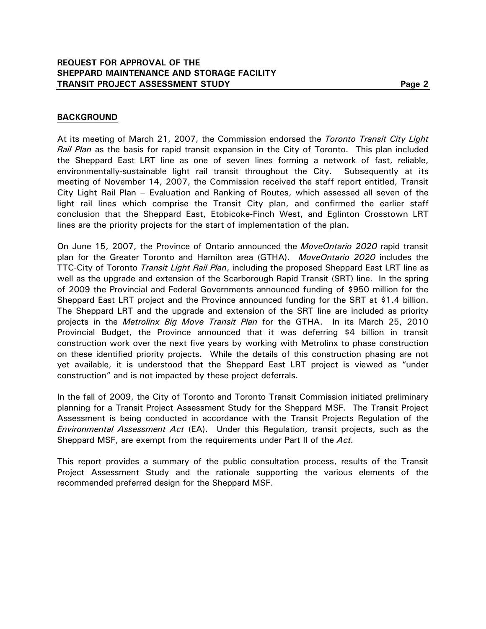## **BACKGROUND**

At its meeting of March 21, 2007, the Commission endorsed the *Toronto Transit City Light Rail Plan* as the basis for rapid transit expansion in the City of Toronto. This plan included the Sheppard East LRT line as one of seven lines forming a network of fast, reliable, environmentally-sustainable light rail transit throughout the City. Subsequently at its meeting of November 14, 2007, the Commission received the staff report entitled, Transit City Light Rail Plan – Evaluation and Ranking of Routes, which assessed all seven of the light rail lines which comprise the Transit City plan, and confirmed the earlier staff conclusion that the Sheppard East, Etobicoke-Finch West, and Eglinton Crosstown LRT lines are the priority projects for the start of implementation of the plan.

On June 15, 2007, the Province of Ontario announced the *MoveOntario 2020* rapid transit plan for the Greater Toronto and Hamilton area (GTHA). *MoveOntario 2020* includes the TTC-City of Toronto *Transit Light Rail Plan*, including the proposed Sheppard East LRT line as well as the upgrade and extension of the Scarborough Rapid Transit (SRT) line. In the spring of 2009 the Provincial and Federal Governments announced funding of \$950 million for the Sheppard East LRT project and the Province announced funding for the SRT at \$1.4 billion. The Sheppard LRT and the upgrade and extension of the SRT line are included as priority projects in the *Metrolinx Big Move Transit Plan* for the GTHA. In its March 25, 2010 Provincial Budget, the Province announced that it was deferring \$4 billion in transit construction work over the next five years by working with Metrolinx to phase construction on these identified priority projects. While the details of this construction phasing are not yet available, it is understood that the Sheppard East LRT project is viewed as "under construction" and is not impacted by these project deferrals.

In the fall of 2009, the City of Toronto and Toronto Transit Commission initiated preliminary planning for a Transit Project Assessment Study for the Sheppard MSF. The Transit Project Assessment is being conducted in accordance with the Transit Projects Regulation of the *Environmental Assessment Act* (EA). Under this Regulation, transit projects, such as the Sheppard MSF, are exempt from the requirements under Part II of the *Act.*

This report provides a summary of the public consultation process, results of the Transit Project Assessment Study and the rationale supporting the various elements of the recommended preferred design for the Sheppard MSF.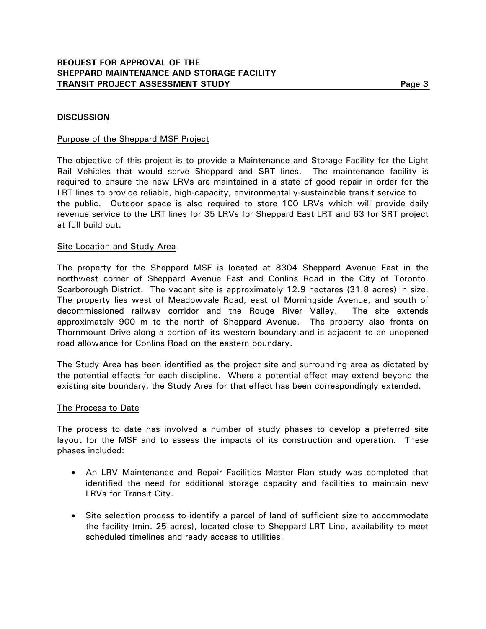### **DISCUSSION**

#### Purpose of the Sheppard MSF Project

The objective of this project is to provide a Maintenance and Storage Facility for the Light Rail Vehicles that would serve Sheppard and SRT lines. The maintenance facility is required to ensure the new LRVs are maintained in a state of good repair in order for the LRT lines to provide reliable, high-capacity, environmentally-sustainable transit service to the public. Outdoor space is also required to store 100 LRVs which will provide daily revenue service to the LRT lines for 35 LRVs for Sheppard East LRT and 63 for SRT project at full build out.

#### Site Location and Study Area

The property for the Sheppard MSF is located at 8304 Sheppard Avenue East in the northwest corner of Sheppard Avenue East and Conlins Road in the City of Toronto, Scarborough District. The vacant site is approximately 12.9 hectares (31.8 acres) in size. The property lies west of Meadowvale Road, east of Morningside Avenue, and south of decommissioned railway corridor and the Rouge River Valley. The site extends approximately 900 m to the north of Sheppard Avenue. The property also fronts on Thornmount Drive along a portion of its western boundary and is adjacent to an unopened road allowance for Conlins Road on the eastern boundary.

The Study Area has been identified as the project site and surrounding area as dictated by the potential effects for each discipline. Where a potential effect may extend beyond the existing site boundary, the Study Area for that effect has been correspondingly extended.

#### The Process to Date

The process to date has involved a number of study phases to develop a preferred site layout for the MSF and to assess the impacts of its construction and operation. These phases included:

- An LRV Maintenance and Repair Facilities Master Plan study was completed that identified the need for additional storage capacity and facilities to maintain new LRVs for Transit City.
- Site selection process to identify a parcel of land of sufficient size to accommodate the facility (min. 25 acres), located close to Sheppard LRT Line, availability to meet scheduled timelines and ready access to utilities.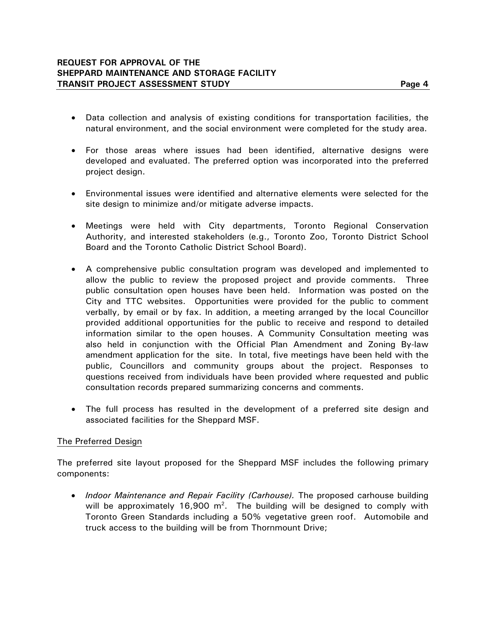- Data collection and analysis of existing conditions for transportation facilities, the natural environment, and the social environment were completed for the study area.
- For those areas where issues had been identified, alternative designs were developed and evaluated. The preferred option was incorporated into the preferred project design.
- Environmental issues were identified and alternative elements were selected for the site design to minimize and/or mitigate adverse impacts.
- Meetings were held with City departments, Toronto Regional Conservation Authority, and interested stakeholders (e.g., Toronto Zoo, Toronto District School Board and the Toronto Catholic District School Board).
- A comprehensive public consultation program was developed and implemented to allow the public to review the proposed project and provide comments. Three public consultation open houses have been held. Information was posted on the City and TTC websites. Opportunities were provided for the public to comment verbally, by email or by fax. In addition, a meeting arranged by the local Councillor provided additional opportunities for the public to receive and respond to detailed information similar to the open houses. A Community Consultation meeting was also held in conjunction with the Official Plan Amendment and Zoning By-law amendment application for the site. In total, five meetings have been held with the public, Councillors and community groups about the project. Responses to questions received from individuals have been provided where requested and public consultation records prepared summarizing concerns and comments.
- The full process has resulted in the development of a preferred site design and associated facilities for the Sheppard MSF.

### The Preferred Design

The preferred site layout proposed for the Sheppard MSF includes the following primary components:

• *Indoor Maintenance and Repair Facility (Carhouse).* The proposed carhouse building will be approximately 16,900  $m^2$ . The building will be designed to comply with Toronto Green Standards including a 50% vegetative green roof. Automobile and truck access to the building will be from Thornmount Drive;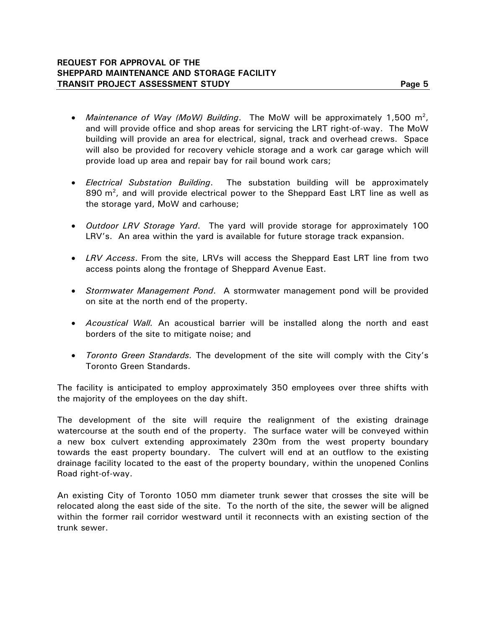- Maintenance of Way (MoW) Building. The MoW will be approximately 1,500 m<sup>2</sup>, and will provide office and shop areas for servicing the LRT right-of-way. The MoW building will provide an area for electrical, signal, track and overhead crews. Space will also be provided for recovery vehicle storage and a work car garage which will provide load up area and repair bay for rail bound work cars;
- *Electrical Substation Building*. The substation building will be approximately 890  $m^2$ , and will provide electrical power to the Sheppard East LRT line as well as the storage yard, MoW and carhouse;
- *Outdoor LRV Storage Yard*. The yard will provide storage for approximately 100 LRV's. An area within the yard is available for future storage track expansion.
- *LRV Access*. From the site, LRVs will access the Sheppard East LRT line from two access points along the frontage of Sheppard Avenue East.
- *Stormwater Management Pond*. A stormwater management pond will be provided on site at the north end of the property.
- *Acoustical Wall.* An acoustical barrier will be installed along the north and east borders of the site to mitigate noise; and
- *Toronto Green Standards.* The development of the site will comply with the City's Toronto Green Standards.

The facility is anticipated to employ approximately 350 employees over three shifts with the majority of the employees on the day shift.

The development of the site will require the realignment of the existing drainage watercourse at the south end of the property. The surface water will be conveyed within a new box culvert extending approximately 230m from the west property boundary towards the east property boundary. The culvert will end at an outflow to the existing drainage facility located to the east of the property boundary, within the unopened Conlins Road right-of-way.

An existing City of Toronto 1050 mm diameter trunk sewer that crosses the site will be relocated along the east side of the site. To the north of the site, the sewer will be aligned within the former rail corridor westward until it reconnects with an existing section of the trunk sewer.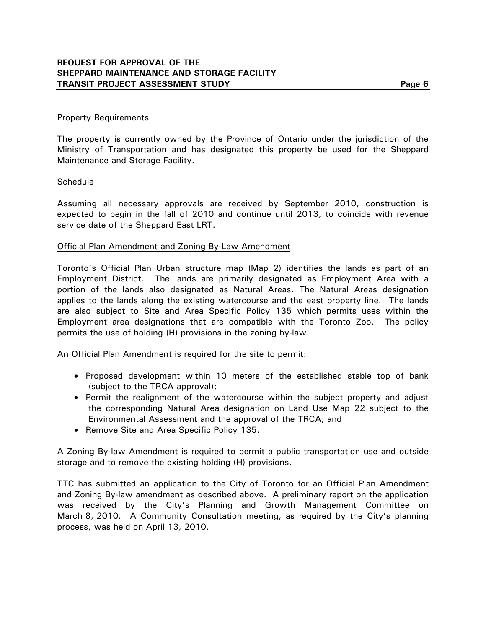The property is currently owned by the Province of Ontario under the jurisdiction of the Ministry of Transportation and has designated this property be used for the Sheppard Maintenance and Storage Facility.

#### **Schedule**

Assuming all necessary approvals are received by September 2010, construction is expected to begin in the fall of 2010 and continue until 2013, to coincide with revenue service date of the Sheppard East LRT.

#### Official Plan Amendment and Zoning By-Law Amendment

Toronto's Official Plan Urban structure map (Map 2) identifies the lands as part of an Employment District. The lands are primarily designated as Employment Area with a portion of the lands also designated as Natural Areas. The Natural Areas designation applies to the lands along the existing watercourse and the east property line. The lands are also subject to Site and Area Specific Policy 135 which permits uses within the Employment area designations that are compatible with the Toronto Zoo. The policy permits the use of holding (H) provisions in the zoning by-law.

An Official Plan Amendment is required for the site to permit:

- Proposed development within 10 meters of the established stable top of bank (subject to the TRCA approval);
- Permit the realignment of the watercourse within the subject property and adjust the corresponding Natural Area designation on Land Use Map 22 subject to the Environmental Assessment and the approval of the TRCA; and
- Remove Site and Area Specific Policy 135.

A Zoning By-law Amendment is required to permit a public transportation use and outside storage and to remove the existing holding (H) provisions.

TTC has submitted an application to the City of Toronto for an Official Plan Amendment and Zoning By-law amendment as described above. A preliminary report on the application was received by the City's Planning and Growth Management Committee on March 8, 2010. A Community Consultation meeting, as required by the City's planning process, was held on April 13, 2010.